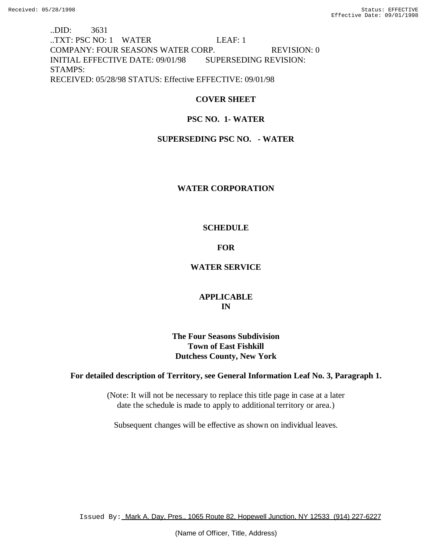..DID: 3631 ..TXT: PSC NO: 1 WATER LEAF: 1 COMPANY: FOUR SEASONS WATER CORP. REVISION: 0 INITIAL EFFECTIVE DATE: 09/01/98 SUPERSEDING REVISION: STAMPS: RECEIVED: 05/28/98 STATUS: Effective EFFECTIVE: 09/01/98

# **COVER SHEET**

# **PSC NO. 1- WATER**

# **SUPERSEDING PSC NO. - WATER**

## **WATER CORPORATION**

## **SCHEDULE**

# **FOR**

# **WATER SERVICE**

# **APPLICABLE IN**

# **The Four Seasons Subdivision Town of East Fishkill Dutchess County, New York**

## **For detailed description of Territory, see General Information Leaf No. 3, Paragraph 1.**

(Note: It will not be necessary to replace this title page in case at a later date the schedule is made to apply to additional territory or area.)

Subsequent changes will be effective as shown on individual leaves.

Issued By: Mark A. Day, Pres., 1065 Route 82, Hopewell Junction, NY 12533 (914) 227-6227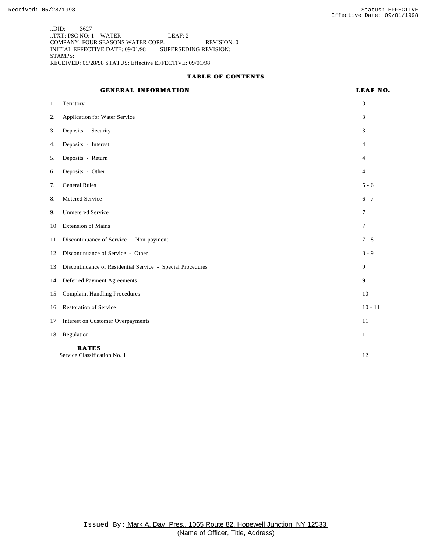..DID: 3627 ..TXT: PSC NO: 1 WATER LEAF: 2 COMPANY: FOUR SEASONS WATER CORP. REVISION: 0 INITIAL EFFECTIVE DATE: 09/01/98 SUPERSEDING REVISION: STAMPS: RECEIVED: 05/28/98 STATUS: Effective EFFECTIVE: 09/01/98

## **TABLE OF CONTENTS**

## **GENERAL INFORMATION LEAF NO.**

| 1. | Territory                                                      | 3              |
|----|----------------------------------------------------------------|----------------|
| 2. | Application for Water Service                                  | 3              |
| 3. | Deposits - Security                                            | 3              |
| 4. | Deposits - Interest                                            | 4              |
| 5. | Deposits - Return                                              | 4              |
| 6. | Deposits - Other                                               | $\overline{4}$ |
| 7. | <b>General Rules</b>                                           | $5 - 6$        |
| 8. | Metered Service                                                | $6 - 7$        |
| 9. | <b>Unmetered Service</b>                                       | $\overline{7}$ |
|    | 10. Extension of Mains                                         | 7              |
|    | 11. Discontinuance of Service - Non-payment                    | $7 - 8$        |
|    | 12. Discontinuance of Service - Other                          | $8 - 9$        |
|    | 13. Discontinuance of Residential Service - Special Procedures | 9              |
|    | 14. Deferred Payment Agreements                                | 9              |
|    | 15. Complaint Handling Procedures                              | 10             |
|    | 16. Restoration of Service                                     | $10 - 11$      |
|    | 17. Interest on Customer Overpayments                          | 11             |
|    | 18. Regulation                                                 | 11             |
|    | <b>RATES</b><br>Service Classification No. 1                   | 12             |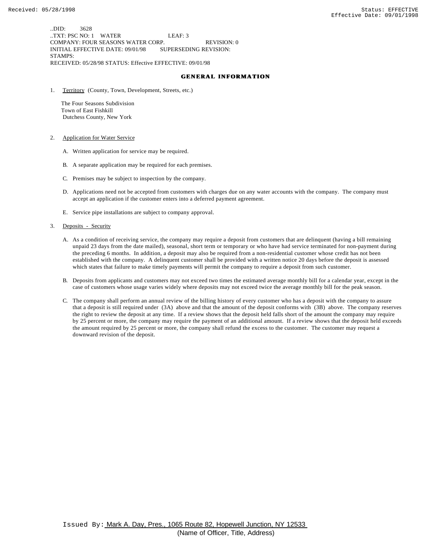..DID: 3628 ..TXT: PSC NO: 1 WATER LEAF: 3 COMPANY: FOUR SEASONS WATER CORP. REVISION: 0 INITIAL EFFECTIVE DATE: 09/01/98 SUPERSEDING REVISION: STAMPS: RECEIVED: 05/28/98 STATUS: Effective EFFECTIVE: 09/01/98

## **GENERAL INFORMATION**

1. Territory (County, Town, Development, Streets, etc.)

 The Four Seasons Subdivision Town of East Fishkill Dutchess County, New York

- 2. Application for Water Service
	- A. Written application for service may be required.
	- B. A separate application may be required for each premises.
	- C. Premises may be subject to inspection by the company.
	- D. Applications need not be accepted from customers with charges due on any water accounts with the company. The company must accept an application if the customer enters into a deferred payment agreement.
	- E. Service pipe installations are subject to company approval.
- 3. Deposits Security
	- A. As a condition of receiving service, the company may require a deposit from customers that are delinquent (having a bill remaining unpaid 23 days from the date mailed), seasonal, short term or temporary or who have had service terminated for non-payment during the preceding 6 months. In addition, a deposit may also be required from a non-residential customer whose credit has not been established with the company. A delinquent customer shall be provided with a written notice 20 days before the deposit is assessed which states that failure to make timely payments will permit the company to require a deposit from such customer.
	- B. Deposits from applicants and customers may not exceed two times the estimated average monthly bill for a calendar year, except in the case of customers whose usage varies widely where deposits may not exceed twice the average monthly bill for the peak season.
	- C. The company shall perform an annual review of the billing history of every customer who has a deposit with the company to assure that a deposit is still required under (3A) above and that the amount of the deposit conforms with (3B) above. The company reserves the right to review the deposit at any time. If a review shows that the deposit held falls short of the amount the company may require by 25 percent or more, the company may require the payment of an additional amount. If a review shows that the deposit held exceeds the amount required by 25 percent or more, the company shall refund the excess to the customer. The customer may request a downward revision of the deposit.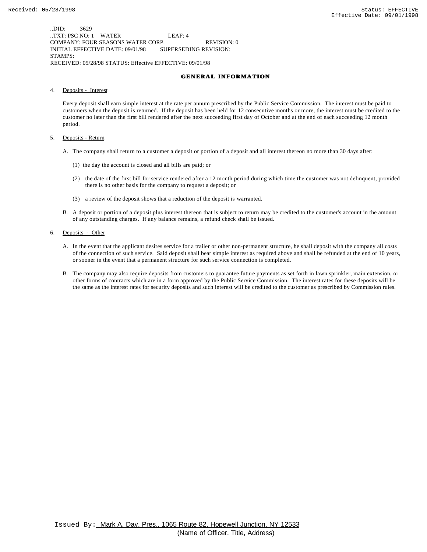..DID: 3629 ..TXT: PSC NO: 1 WATER LEAF: 4 COMPANY: FOUR SEASONS WATER CORP. REVISION: 0 INITIAL EFFECTIVE DATE: 09/01/98 SUPERSEDING REVISION: STAMPS: RECEIVED: 05/28/98 STATUS: Effective EFFECTIVE: 09/01/98

#### **GENERAL INFORMATION**

4. Deposits - Interest

Every deposit shall earn simple interest at the rate per annum prescribed by the Public Service Commission. The interest must be paid to customers when the deposit is returned. If the deposit has been held for 12 consecutive months or more, the interest must be credited to the customer no later than the first bill rendered after the next succeeding first day of October and at the end of each succeeding 12 month period.

- 5. Deposits Return
	- A. The company shall return to a customer a deposit or portion of a deposit and all interest thereon no more than 30 days after:
		- (1) the day the account is closed and all bills are paid; or
		- (2) the date of the first bill for service rendered after a 12 month period during which time the customer was not delinquent, provided there is no other basis for the company to request a deposit; or
		- (3) a review of the deposit shows that a reduction of the deposit is warranted.
	- B. A deposit or portion of a deposit plus interest thereon that is subject to return may be credited to the customer's account in the amount of any outstanding charges. If any balance remains, a refund check shall be issued.
- 6. Deposits Other
	- A. In the event that the applicant desires service for a trailer or other non-permanent structure, he shall deposit with the company all costs of the connection of such service. Said deposit shall bear simple interest as required above and shall be refunded at the end of 10 years, or sooner in the event that a permanent structure for such service connection is completed.
	- B. The company may also require deposits from customers to guarantee future payments as set forth in lawn sprinkler, main extension, or other forms of contracts which are in a form approved by the Public Service Commission. The interest rates for these deposits will be the same as the interest rates for security deposits and such interest will be credited to the customer as prescribed by Commission rules.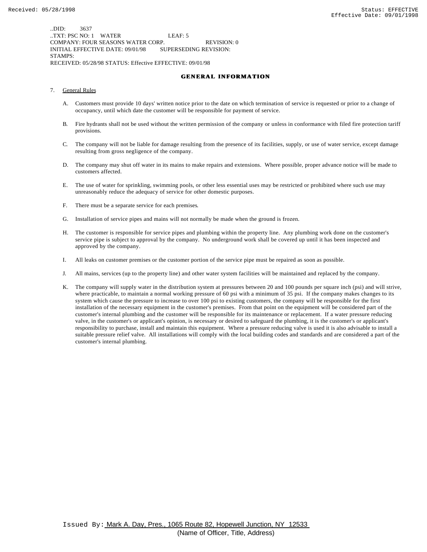..DID: 3637 ..TXT: PSC NO: 1 WATER LEAF: 5 COMPANY: FOUR SEASONS WATER CORP. REVISION: 0 INITIAL EFFECTIVE DATE: 09/01/98 SUPERSEDING REVISION: STAMPS: RECEIVED: 05/28/98 STATUS: Effective EFFECTIVE: 09/01/98

#### **GENERAL INFORMATION**

- 7. General Rules
	- A. Customers must provide 10 days' written notice prior to the date on which termination of service is requested or prior to a change of occupancy, until which date the customer will be responsible for payment of service.
	- B. Fire hydrants shall not be used without the written permission of the company or unless in conformance with filed fire protection tariff provisions.
	- C. The company will not be liable for damage resulting from the presence of its facilities, supply, or use of water service, except damage resulting from gross negligence of the company.
	- D. The company may shut off water in its mains to make repairs and extensions. Where possible, proper advance notice will be made to customers affected.
	- E. The use of water for sprinkling, swimming pools, or other less essential uses may be restricted or prohibited where such use may unreasonably reduce the adequacy of service for other domestic purposes.
	- F. There must be a separate service for each premises.
	- G. Installation of service pipes and mains will not normally be made when the ground is frozen.
	- H. The customer is responsible for service pipes and plumbing within the property line. Any plumbing work done on the customer's service pipe is subject to approval by the company. No underground work shall be covered up until it has been inspected and approved by the company.
	- I. All leaks on customer premises or the customer portion of the service pipe must be repaired as soon as possible.
	- J. All mains, services (up to the property line) and other water system facilities will be maintained and replaced by the company.
	- K. The company will supply water in the distribution system at pressures between 20 and 100 pounds per square inch (psi) and will strive, where practicable, to maintain a normal working pressure of 60 psi with a minimum of 35 psi. If the company makes changes to its system which cause the pressure to increase to over 100 psi to existing customers, the company will be responsible for the first installation of the necessary equipment in the customer's premises. From that point on the equipment will be considered part of the customer's internal plumbing and the customer will be responsible for its maintenance or replacement. If a water pressure reducing valve, in the customer's or applicant's opinion, is necessary or desired to safeguard the plumbing, it is the customer's or applicant's responsibility to purchase, install and maintain this equipment. Where a pressure reducing valve is used it is also advisable to install a suitable pressure relief valve. All installations will comply with the local building codes and standards and are considered a part of the customer's internal plumbing.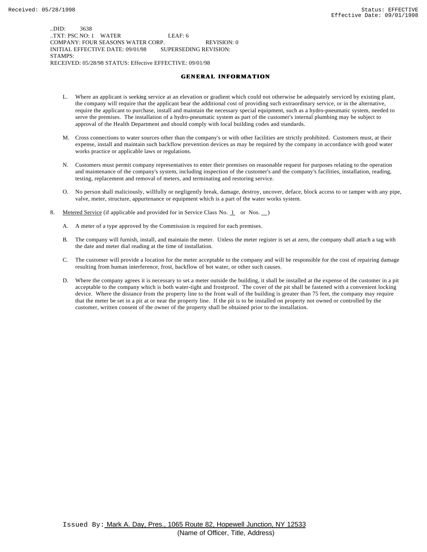..DID: 3638 ..TXT: PSC NO: 1 WATER LEAF: 6 COMPANY: FOUR SEASONS WATER CORP. REVISION: 0 INITIAL EFFECTIVE DATE: 09/01/98 SUPERSEDING REVISION: STAMPS: RECEIVED: 05/28/98 STATUS: Effective EFFECTIVE: 09/01/98

#### **GENERAL INFORMATION**

- L. Where an applicant is seeking service at an elevation or gradient which could not otherwise be adequately serviced by existing plant, the company will require that the applicant bear the additional cost of providing such extraordinary service, or in the alternative, require the applicant to purchase, install and maintain the necessary special equipment, such as a hydro-pneumatic system, needed to serve the premises. The installation of a hydro-pneumatic system as part of the customer's internal plumbing may be subject to approval of the Health Department and should comply with local building codes and standards.
- M. Cross connections to water sources other than the company's or with other facilities are strictly prohibited. Customers must, at their expense, install and maintain such backflow prevention devices as may be required by the company in accordance with good water works practice or applicable laws or regulations.
- N. Customers must permit company representatives to enter their premises on reasonable request for purposes relating to the operation and maintenance of the company's system, including inspection of the customer's and the company's facilities, installation, reading, testing, replacement and removal of meters, and terminating and restoring service.
- O. No person shall maliciously, willfully or negligently break, damage, destroy, uncover, deface, block access to or tamper with any pipe, valve, meter, structure, appurtenance or equipment which is a part of the water works system.
- 8. Metered Service (if applicable and provided for in Service Class No. 1 or Nos. )
	- A. A meter of a type approved by the Commission is required for each premises.
	- B. The company will furnish, install, and maintain the meter. Unless the meter register is set at zero, the company shall attach a tag with the date and meter dial reading at the time of installation.
	- C. The customer will provide a location for the meter acceptable to the company and will be responsible for the cost of repairing damage resulting from human interference, frost, backflow of hot water, or other such causes.
	- D. Where the company agrees it is necessary to set a meter outside the building, it shall be installed at the expense of the customer in a pit acceptable to the company which is both water-tight and frostproof. The cover of the pit shall be fastened with a convenient locking device. Where the distance from the property line to the front wall of the building is greater than 75 feet, the company may require that the meter be set in a pit at or near the property line. If the pit is to be installed on property not owned or controlled by the customer, written consent of the owner of the property shall be obtained prior to the installation.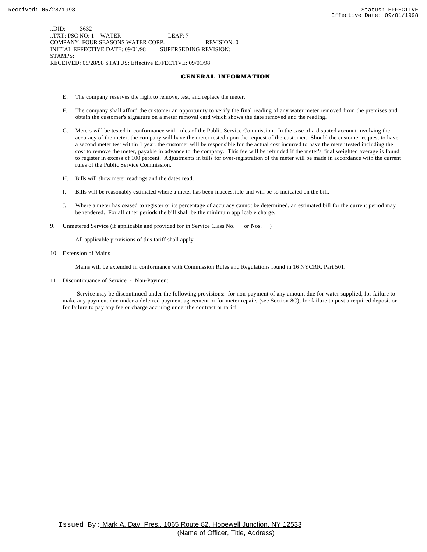..DID: 3632 ..TXT: PSC NO: 1 WATER LEAF: 7 COMPANY: FOUR SEASONS WATER CORP. REVISION: 0 INITIAL EFFECTIVE DATE: 09/01/98 SUPERSEDING REVISION: STAMPS: RECEIVED: 05/28/98 STATUS: Effective EFFECTIVE: 09/01/98

#### **GENERAL INFORMATION**

- E. The company reserves the right to remove, test, and replace the meter.
- F. The company shall afford the customer an opportunity to verify the final reading of any water meter removed from the premises and obtain the customer's signature on a meter removal card which shows the date removed and the reading.
- G. Meters will be tested in conformance with rules of the Public Service Commission. In the case of a disputed account involving the accuracy of the meter, the company will have the meter tested upon the request of the customer. Should the customer request to have a second meter test within 1 year, the customer will be responsible for the actual cost incurred to have the meter tested including the cost to remove the meter, payable in advance to the company. This fee will be refunded if the meter's final weighted average is found to register in excess of 100 percent. Adjustments in bills for over-registration of the meter will be made in accordance with the current rules of the Public Service Commission.
- H. Bills will show meter readings and the dates read.
- I. Bills will be reasonably estimated where a meter has been inaccessible and will be so indicated on the bill.
- J. Where a meter has ceased to register or its percentage of accuracy cannot be determined, an estimated bill for the current period may be rendered. For all other periods the bill shall be the minimum applicable charge.
- 9. Unmetered Service (if applicable and provided for in Service Class No. \_ or Nos. \_)

All applicable provisions of this tariff shall apply.

10. Extension of Mains

Mains will be extended in conformance with Commission Rules and Regulations found in 16 NYCRR, Part 501.

11. Discontinuance of Service - Non-Payment

 Service may be discontinued under the following provisions: for non-payment of any amount due for water supplied, for failure to make any payment due under a deferred payment agreement or for meter repairs (see Section 8C), for failure to post a required deposit or for failure to pay any fee or charge accruing under the contract or tariff.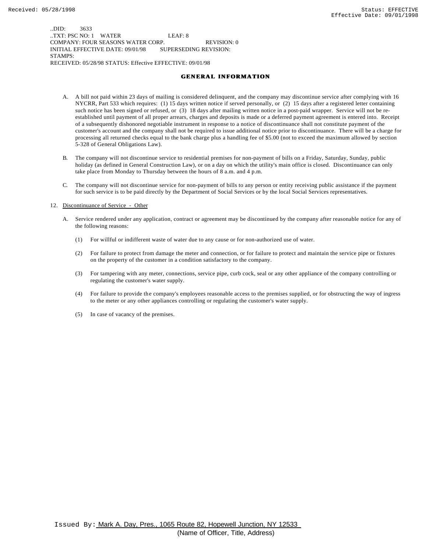..DID: 3633 ..TXT: PSC NO: 1 WATER LEAF: 8 COMPANY: FOUR SEASONS WATER CORP. REVISION: 0 INITIAL EFFECTIVE DATE: 09/01/98 SUPERSEDING REVISION: STAMPS: RECEIVED: 05/28/98 STATUS: Effective EFFECTIVE: 09/01/98

#### **GENERAL INFORMATION**

- A. A bill not paid within 23 days of mailing is considered delinquent, and the company may discontinue service after complying with 16 NYCRR, Part 533 which requires: (1) 15 days written notice if served personally, or (2) 15 days after a registered letter containing such notice has been signed or refused, or (3) 18 days after mailing written notice in a post-paid wrapper. Service will not be reestablished until payment of all proper arrears, charges and deposits is made or a deferred payment agreement is entered into. Receipt of a subsequently dishonored negotiable instrument in response to a notice of discontinuance shall not constitute payment of the customer's account and the company shall not be required to issue additional notice prior to discontinuance. There will be a charge for processing all returned checks equal to the bank charge plus a handling fee of \$5.00 (not to exceed the maximum allowed by section 5-328 of General Obligations Law).
- B. The company will not discontinue service to residential premises for non-payment of bills on a Friday, Saturday, Sunday, public holiday (as defined in General Construction Law), or on a day on which the utility's main office is closed. Discontinuance can only take place from Monday to Thursday between the hours of 8 a.m. and 4 p.m.
- C. The company will not discontinue service for non-payment of bills to any person or entity receiving public assistance if the payment for such service is to be paid directly by the Department of Social Services or by the local Social Services representatives.

#### 12. Discontinuance of Service - Other

- A. Service rendered under any application, contract or agreement may be discontinued by the company after reasonable notice for any of the following reasons:
	- (1) For willful or indifferent waste of water due to any cause or for non-authorized use of water.
	- (2) For failure to protect from damage the meter and connection, or for failure to protect and maintain the service pipe or fixtures on the property of the customer in a condition satisfactory to the company.
	- (3) For tampering with any meter, connections, service pipe, curb cock, seal or any other appliance of the company controlling or regulating the customer's water supply.
	- (4) For failure to provide the company's employees reasonable access to the premises supplied, or for obstructing the way of ingress to the meter or any other appliances controlling or regulating the customer's water supply.
	- (5) In case of vacancy of the premises.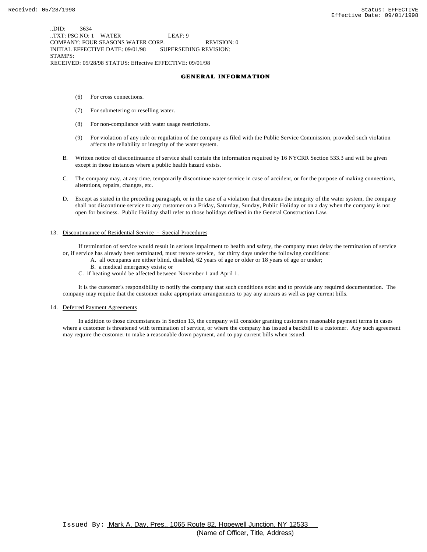..DID: 3634 ..TXT: PSC NO: 1 WATER LEAF: 9 COMPANY: FOUR SEASONS WATER CORP. REVISION: 0 INITIAL EFFECTIVE DATE: 09/01/98 SUPERSEDING REVISION: STAMPS: RECEIVED: 05/28/98 STATUS: Effective EFFECTIVE: 09/01/98

#### **GENERAL INFORMATION**

- (6) For cross connections.
- (7) For submetering or reselling water.
- (8) For non-compliance with water usage restrictions.
- (9) For violation of any rule or regulation of the company as filed with the Public Service Commission, provided such violation affects the reliability or integrity of the water system.
- B. Written notice of discontinuance of service shall contain the information required by 16 NYCRR Section 533.3 and will be given except in those instances where a public health hazard exists.
- C. The company may, at any time, temporarily discontinue water service in case of accident, or for the purpose of making connections, alterations, repairs, changes, etc.
- D. Except as stated in the preceding paragraph, or in the case of a violation that threatens the integrity of the water system, the company shall not discontinue service to any customer on a Friday, Saturday, Sunday, Public Holiday or on a day when the company is not open for business. Public Holiday shall refer to those holidays defined in the General Construction Law.

#### 13. Discontinuance of Residential Service - Special Procedures

 If termination of service would result in serious impairment to health and safety, the company must delay the termination of service or, if service has already been terminated, must restore service, for thirty days under the following conditions:

- A. all occupants are either blind, disabled, 62 years of age or older or 18 years of age or under;
	- B. a medical emergency exists; or
- C. if heating would be affected between November 1 and April 1.

 It is the customer's responsibility to notify the company that such conditions exist and to provide any required documentation. The company may require that the customer make appropriate arrangements to pay any arrears as well as pay current bills.

#### 14. Deferred Payment Agreements

 In addition to those circumstances in Section 13, the company will consider granting customers reasonable payment terms in cases where a customer is threatened with termination of service, or where the company has issued a backbill to a customer. Any such agreement may require the customer to make a reasonable down payment, and to pay current bills when issued.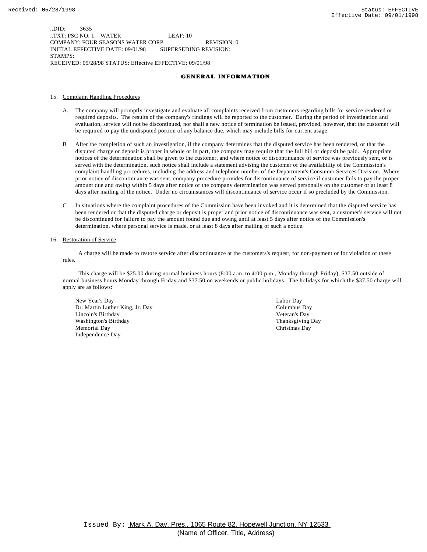..DID: 3635 ..TXT: PSC NO: 1 WATER LEAF: 10 COMPANY: FOUR SEASONS WATER CORP. REVISION: 0 INITIAL EFFECTIVE DATE: 09/01/98 SUPERSEDING REVISION: STAMPS: RECEIVED: 05/28/98 STATUS: Effective EFFECTIVE: 09/01/98

#### **GENERAL INFORMATION**

#### 15. Complaint Handling Procedures

- A. The company will promptly investigate and evaluate all complaints received from customers regarding bills for service rendered or required deposits. The results of the company's findings will be reported to the customer. During the period of investigation and evaluation, service will not be discontinued, nor shall a new notice of termination be issued, provided, however, that the customer will be required to pay the undisputed portion of any balance due, which may include bills for current usage.
- B. After the completion of such an investigation, if the company determines that the disputed service has been rendered, or that the disputed charge or deposit is proper in whole or in part, the company may require that the full bill or deposit be paid. Appropriate notices of the determination shall be given to the customer, and where notice of discontinuance of service was previously sent, or is served with the determination, such notice shall include a statement advising the customer of the availability of the Commission's complaint handling procedures, including the address and telephone number of the Department's Consumer Services Division. Where prior notice of discontinuance was sent, company procedure provides for discontinuance of service if customer fails to pay the proper amount due and owing within 5 days after notice of the company determination was served personally on the customer or at least 8 days after mailing of the notice. Under no circumstances will discontinuance of service occur if so precluded by the Commission.
- C. In situations where the complaint procedures of the Commission have been invoked and it is determined that the disputed service has been rendered or that the disputed charge or deposit is proper and prior notice of discontinuance was sent, a customer's service will not be discontinued for failure to pay the amount found due and owing until at least 5 days after notice of the Commission's determination, where personal service is made, or at least 8 days after mailing of such a notice.

#### 16. Restoration of Service

 A charge will be made to restore service after discontinuance at the customers's request, for non-payment or for violation of these rules.

 This charge will be \$25.00 during normal business hours (8:00 a.m. to 4:00 p.m., Monday through Friday), \$37.50 outside of normal business hours Monday through Friday and \$37.50 on weekends or public holidays. The holidays for which the \$37.50 charge will apply are as follows:

New Year's Day Labor Day Dr. Martin Luther King, Jr. Day Columbus Day Lincoln's Birthday Veteran's Day Washington's Birthday **Thanksgiving Day** Thanksgiving Day Memorial Day Christmas Day Independence Day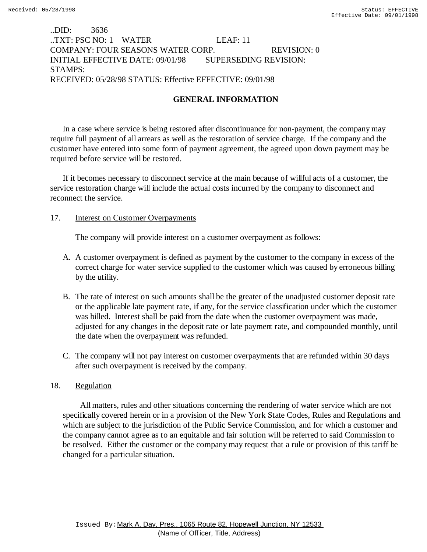# ..DID: 3636 ..TXT: PSC NO: 1 WATER LEAF: 11 COMPANY: FOUR SEASONS WATER CORP. REVISION: 0 INITIAL EFFECTIVE DATE: 09/01/98 SUPERSEDING REVISION: STAMPS: RECEIVED: 05/28/98 STATUS: Effective EFFECTIVE: 09/01/98

# **GENERAL INFORMATION**

In a case where service is being restored after discontinuance for non-payment, the company may require full payment of all arrears as well as the restoration of service charge. If the company and the customer have entered into some form of payment agreement, the agreed upon down payment may be required before service will be restored.

If it becomes necessary to disconnect service at the main because of willful acts of a customer, the service restoration charge will include the actual costs incurred by the company to disconnect and reconnect the service.

## 17. Interest on Customer Overpayments

The company will provide interest on a customer overpayment as follows:

- A. A customer overpayment is defined as payment by the customer to the company in excess of the correct charge for water service supplied to the customer which was caused by erroneous billing by the utility.
- B. The rate of interest on such amounts shall be the greater of the unadjusted customer deposit rate or the applicable late payment rate, if any, for the service classification under which the customer was billed. Interest shall be paid from the date when the customer overpayment was made, adjusted for any changes in the deposit rate or late payment rate, and compounded monthly, until the date when the overpayment was refunded.
- C. The company will not pay interest on customer overpayments that are refunded within 30 days after such overpayment is received by the company.

# 18. Regulation

 All matters, rules and other situations concerning the rendering of water service which are not specifically covered herein or in a provision of the New York State Codes, Rules and Regulations and which are subject to the jurisdiction of the Public Service Commission, and for which a customer and the company cannot agree as to an equitable and fair solution will be referred to said Commission to be resolved. Either the customer or the company may request that a rule or provision of this tariff be changed for a particular situation.